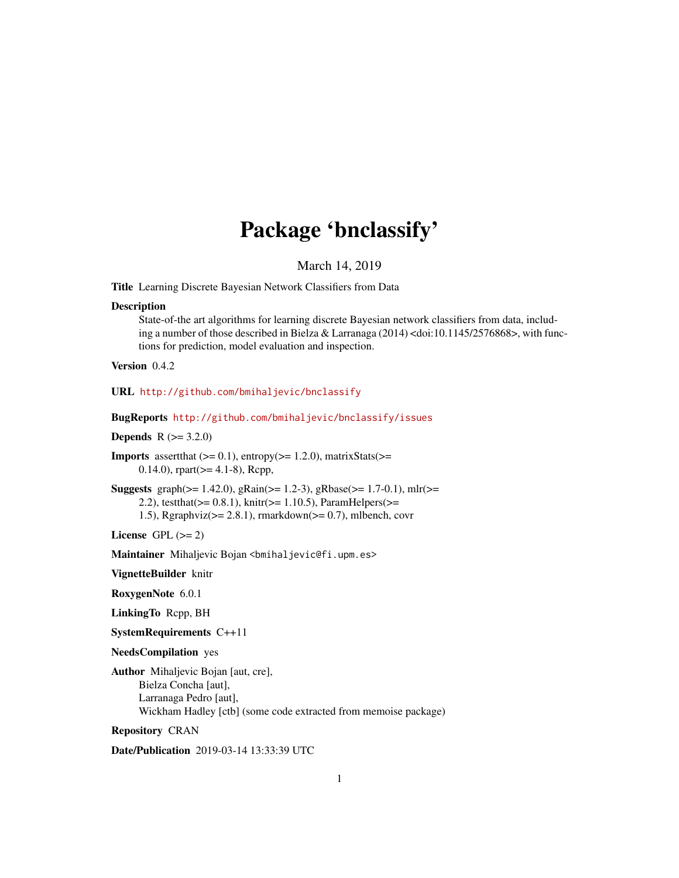# Package 'bnclassify'

March 14, 2019

<span id="page-0-0"></span>Title Learning Discrete Bayesian Network Classifiers from Data

#### **Description**

State-of-the art algorithms for learning discrete Bayesian network classifiers from data, including a number of those described in Bielza & Larranaga (2014) <doi:10.1145/2576868>, with functions for prediction, model evaluation and inspection.

Version 0.4.2

URL <http://github.com/bmihaljevic/bnclassify>

BugReports <http://github.com/bmihaljevic/bnclassify/issues>

**Depends**  $R (= 3.2.0)$ 

**Imports** assert that  $(>= 0.1)$ , entropy $(>= 1.2.0)$ , matrixStats $(>=$ 0.14.0), rpart( $>= 4.1-8$ ), Rcpp,

Suggests graph( $>= 1.42.0$ ), gRain( $>= 1.2-3$ ), gRbase( $>= 1.7-0.1$ ), mlr( $>=$ 2.2), testthat( $>= 0.8.1$ ), knitr( $>= 1.10.5$ ), ParamHelpers( $>=$ 1.5), Rgraphviz( $>= 2.8.1$ ), rmarkdown( $>= 0.7$ ), mlbench, covr

License GPL  $(>= 2)$ 

Maintainer Mihaljevic Bojan <br/>bmihaljevic@fi.upm.es>

VignetteBuilder knitr

RoxygenNote 6.0.1

LinkingTo Rcpp, BH

SystemRequirements C++11

NeedsCompilation yes

Author Mihaljevic Bojan [aut, cre], Bielza Concha [aut], Larranaga Pedro [aut], Wickham Hadley [ctb] (some code extracted from memoise package)

Repository CRAN

Date/Publication 2019-03-14 13:33:39 UTC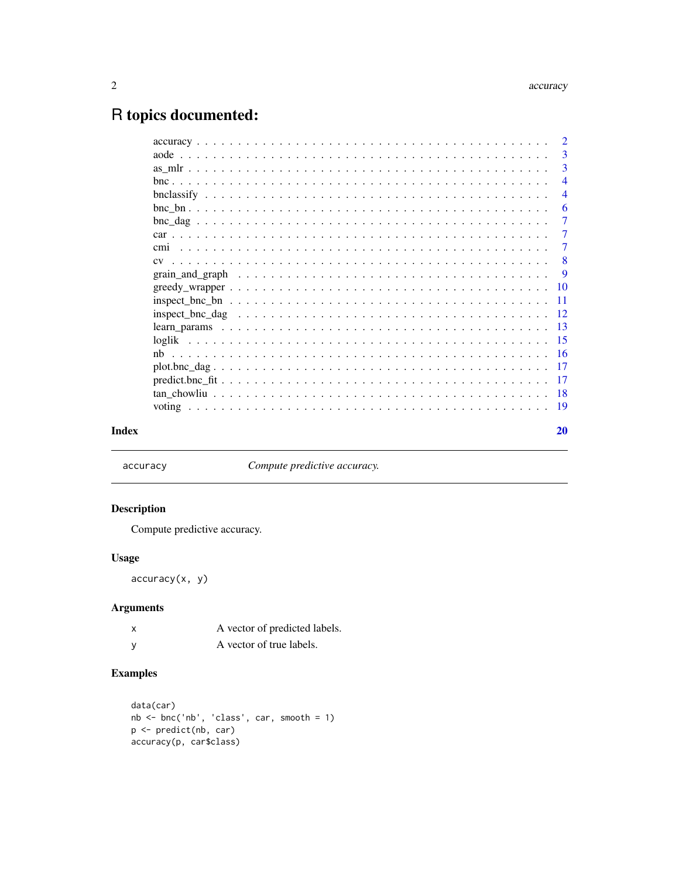# <span id="page-1-0"></span>R topics documented:

|       | -3             |
|-------|----------------|
|       | 3              |
|       | $\overline{4}$ |
|       | $\overline{4}$ |
|       | -6             |
|       | $\overline{7}$ |
|       | -7             |
|       | $\overline{7}$ |
|       | - 8            |
|       | -9             |
|       |                |
|       |                |
|       |                |
|       |                |
|       |                |
|       |                |
|       |                |
|       |                |
|       |                |
|       |                |
| Index | 20             |

accuracy *Compute predictive accuracy.*

# Description

Compute predictive accuracy.

# Usage

accuracy(x, y)

# Arguments

| X | A vector of predicted labels. |
|---|-------------------------------|
| у | A vector of true labels.      |

```
data(car)
nb <- bnc('nb', 'class', car, smooth = 1)
p <- predict(nb, car)
accuracy(p, car$class)
```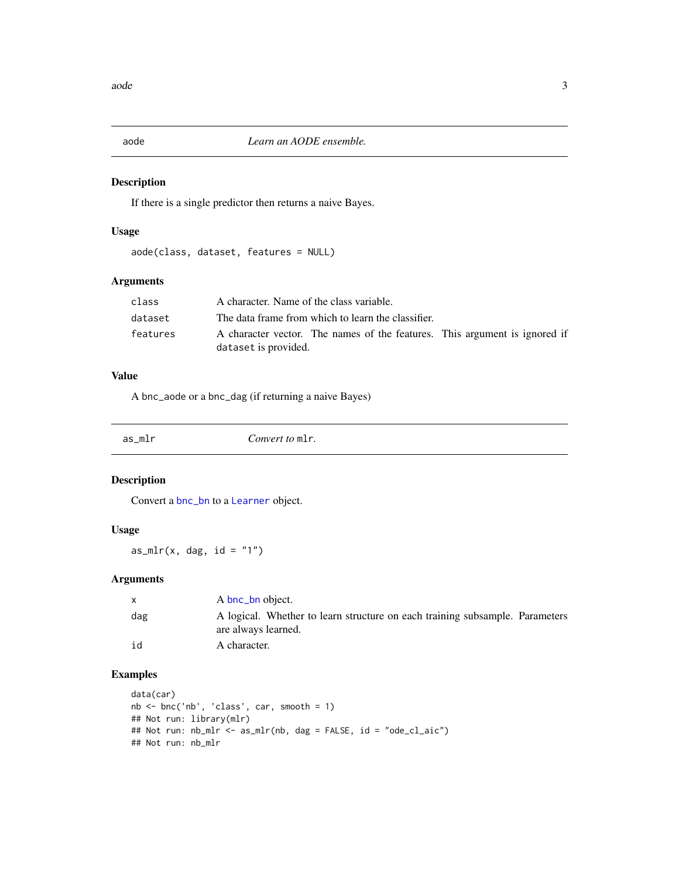<span id="page-2-1"></span><span id="page-2-0"></span>

If there is a single predictor then returns a naive Bayes.

# Usage

```
aode(class, dataset, features = NULL)
```
# Arguments

| class    | A character. Name of the class variable.                                                           |
|----------|----------------------------------------------------------------------------------------------------|
| dataset  | The data frame from which to learn the classifier.                                                 |
| features | A character vector. The names of the features. This argument is ignored if<br>dataset is provided. |

# Value

A bnc\_aode or a bnc\_dag (if returning a naive Bayes)

<span id="page-2-2"></span>

as\_mlr *Convert to* mlr*.*

# Description

Convert a [bnc\\_bn](#page-5-1) to a [Learner](#page-0-0) object.

# Usage

as\_mlr(x, dag,  $id = "1")$ 

# Arguments

|     | A bnc_bn object.                                                                                    |
|-----|-----------------------------------------------------------------------------------------------------|
| dag | A logical. Whether to learn structure on each training subsample. Parameters<br>are always learned. |
| id  | A character.                                                                                        |

```
data(car)
nb <- bnc('nb', 'class', car, smooth = 1)
## Not run: library(mlr)
## Not run: nb_mlr <- as_mlr(nb, dag = FALSE, id = "ode_cl_aic")
## Not run: nb_mlr
```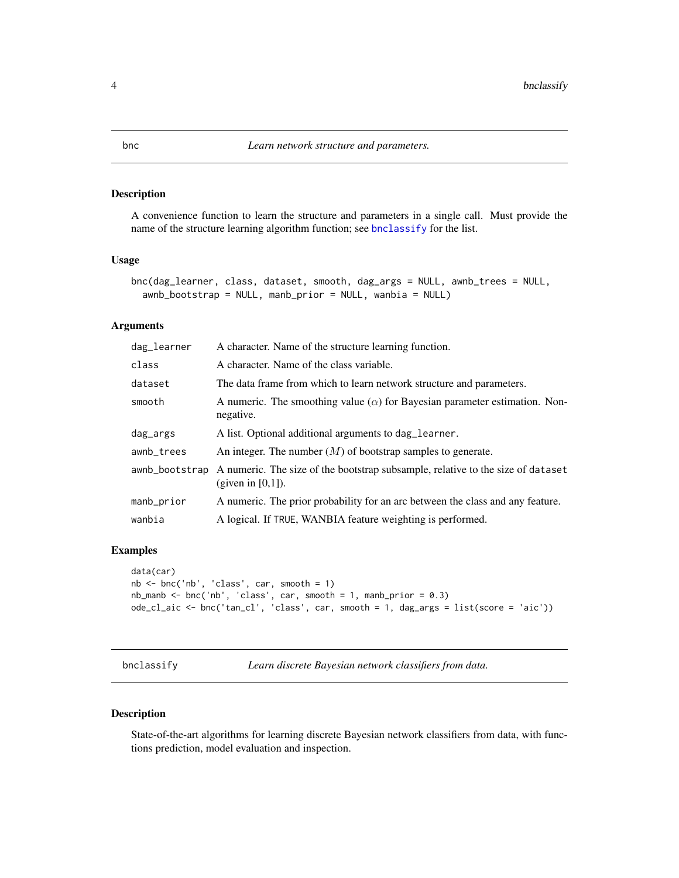<span id="page-3-2"></span><span id="page-3-0"></span>A convenience function to learn the structure and parameters in a single call. Must provide the name of the structure learning algorithm function; see [bnclassify](#page-3-1) for the list.

#### Usage

```
bnc(dag_learner, class, dataset, smooth, dag_args = NULL, awnb_trees = NULL,
  awnb_bootstrap = NULL, manb_prior = NULL, wanbia = NULL)
```
# Arguments

| dag_learner | A character. Name of the structure learning function.                                                                  |
|-------------|------------------------------------------------------------------------------------------------------------------------|
| class       | A character. Name of the class variable.                                                                               |
| dataset     | The data frame from which to learn network structure and parameters.                                                   |
| smooth      | A numeric. The smoothing value ( $\alpha$ ) for Bayesian parameter estimation. Non-<br>negative.                       |
| dag_args    | A list. Optional additional arguments to dag_learner.                                                                  |
| awnb_trees  | An integer. The number $(M)$ of bootstrap samples to generate.                                                         |
|             | awnb_bootstrap A numeric. The size of the bootstrap subsample, relative to the size of dataset<br>(given in $[0,1]$ ). |
| manb_prior  | A numeric. The prior probability for an arc between the class and any feature.                                         |
| wanbia      | A logical. If TRUE, WANBIA feature weighting is performed.                                                             |

## Examples

```
data(car)
nb <- bnc('nb', 'class', car, smooth = 1)
nb\_manb \leq bnc('nb', 'class', car, smooth = 1, manb\_prior = 0.3)ode_cl_aic <- bnc('tan_cl', 'class', car, smooth = 1, dag_args = list(score = 'aic'))
```
<span id="page-3-1"></span>bnclassify *Learn discrete Bayesian network classifiers from data.*

# Description

State-of-the-art algorithms for learning discrete Bayesian network classifiers from data, with functions prediction, model evaluation and inspection.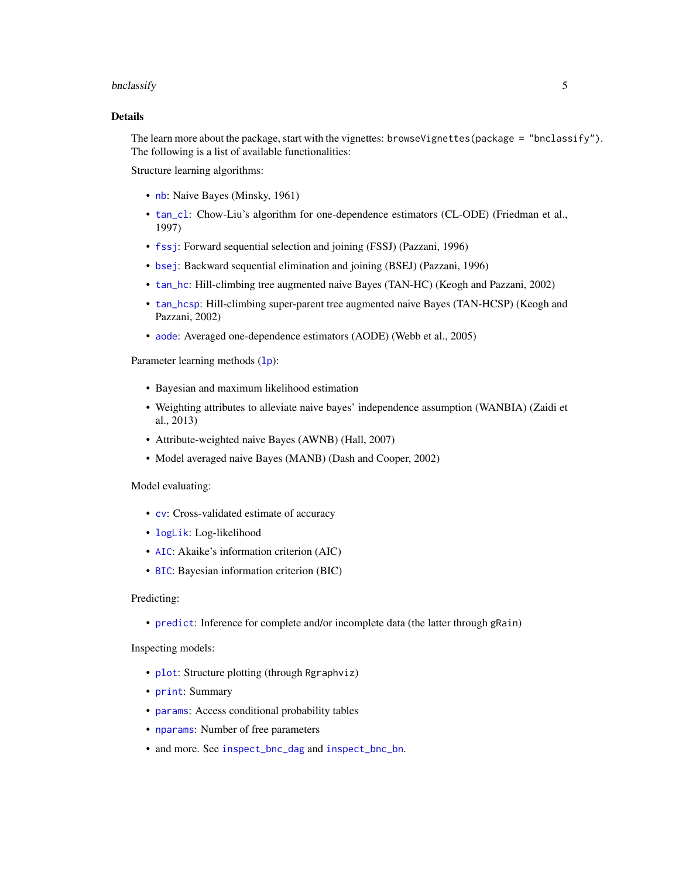#### <span id="page-4-0"></span>bnclassify 5

# Details

The learn more about the package, start with the vignettes: browseVignettes(package = "bnclassify"). The following is a list of available functionalities:

Structure learning algorithms:

- [nb](#page-15-1): Naive Bayes (Minsky, 1961)
- [tan\\_cl](#page-17-1): Chow-Liu's algorithm for one-dependence estimators (CL-ODE) (Friedman et al., 1997)
- [fssj](#page-9-1): Forward sequential selection and joining (FSSJ) (Pazzani, 1996)
- [bsej](#page-9-1): Backward sequential elimination and joining (BSEJ) (Pazzani, 1996)
- [tan\\_hc](#page-9-1): Hill-climbing tree augmented naive Bayes (TAN-HC) (Keogh and Pazzani, 2002)
- [tan\\_hcsp](#page-9-1): Hill-climbing super-parent tree augmented naive Bayes (TAN-HCSP) (Keogh and Pazzani, 2002)
- [aode](#page-2-1): Averaged one-dependence estimators (AODE) (Webb et al., 2005)

Parameter learning methods (1p):

- Bayesian and maximum likelihood estimation
- Weighting attributes to alleviate naive bayes' independence assumption (WANBIA) (Zaidi et al., 2013)
- Attribute-weighted naive Bayes (AWNB) (Hall, 2007)
- Model averaged naive Bayes (MANB) (Dash and Cooper, 2002)

Model evaluating:

- [cv](#page-7-1): Cross-validated estimate of accuracy
- [logLik](#page-14-1): Log-likelihood
- [AIC](#page-14-1): Akaike's information criterion (AIC)
- [BIC](#page-14-1): Bayesian information criterion (BIC)

#### Predicting:

• [predict](#page-16-1): Inference for complete and/or incomplete data (the latter through gRain)

Inspecting models:

- [plot](#page-16-2): Structure plotting (through Rgraphviz)
- [print](#page-0-0): Summary
- [params](#page-10-1): Access conditional probability tables
- [nparams](#page-10-1): Number of free parameters
- and more. See [inspect\\_bnc\\_dag](#page-11-1) and [inspect\\_bnc\\_bn](#page-10-2).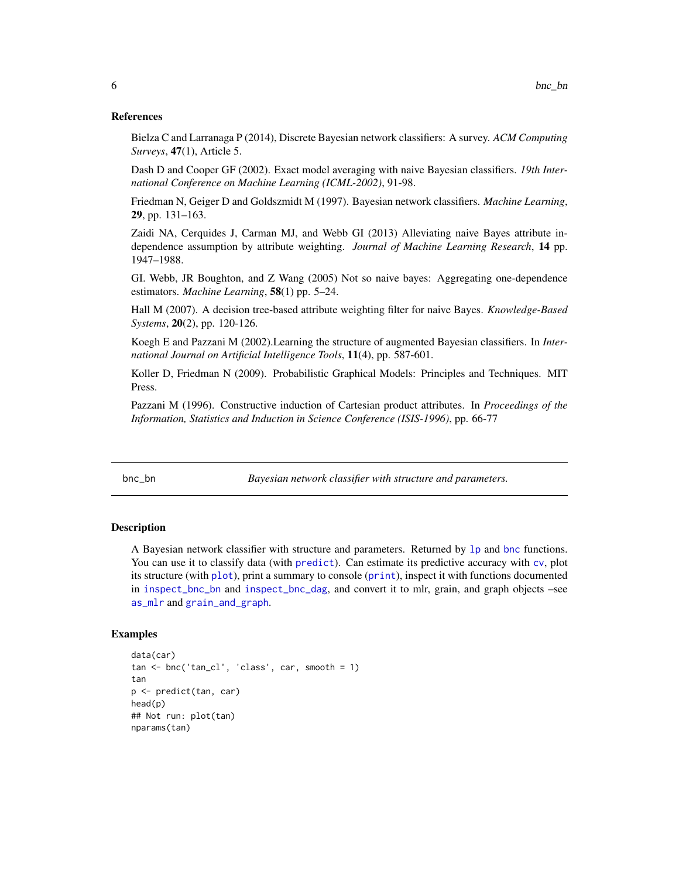#### <span id="page-5-0"></span>References

Bielza C and Larranaga P (2014), Discrete Bayesian network classifiers: A survey. *ACM Computing Surveys*, 47(1), Article 5.

Dash D and Cooper GF (2002). Exact model averaging with naive Bayesian classifiers. *19th International Conference on Machine Learning (ICML-2002)*, 91-98.

Friedman N, Geiger D and Goldszmidt M (1997). Bayesian network classifiers. *Machine Learning*, 29, pp. 131–163.

Zaidi NA, Cerquides J, Carman MJ, and Webb GI (2013) Alleviating naive Bayes attribute independence assumption by attribute weighting. *Journal of Machine Learning Research*, 14 pp. 1947–1988.

GI. Webb, JR Boughton, and Z Wang (2005) Not so naive bayes: Aggregating one-dependence estimators. *Machine Learning*, 58(1) pp. 5–24.

Hall M (2007). A decision tree-based attribute weighting filter for naive Bayes. *Knowledge-Based Systems*, 20(2), pp. 120-126.

Koegh E and Pazzani M (2002).Learning the structure of augmented Bayesian classifiers. In *International Journal on Artificial Intelligence Tools*, 11(4), pp. 587-601.

Koller D, Friedman N (2009). Probabilistic Graphical Models: Principles and Techniques. MIT Press.

Pazzani M (1996). Constructive induction of Cartesian product attributes. In *Proceedings of the Information, Statistics and Induction in Science Conference (ISIS-1996)*, pp. 66-77

<span id="page-5-1"></span>bnc\_bn *Bayesian network classifier with structure and parameters.*

# **Description**

A Bayesian network classifier with structure and parameters. Returned by [lp](#page-12-1) and [bnc](#page-3-2) functions. You can use it to classify data (with [predict](#page-16-1)). Can estimate its predictive accuracy with [cv](#page-7-1), plot its structure (with [plot](#page-16-2)), print a summary to console ([print](#page-0-0)), inspect it with functions documented in [inspect\\_bnc\\_bn](#page-10-2) and [inspect\\_bnc\\_dag](#page-11-1), and convert it to mlr, grain, and graph objects –see [as\\_mlr](#page-2-2) and [grain\\_and\\_graph](#page-8-1).

```
data(car)
tan < -b</math>nc('tan_cl', 'class', car, smooth = 1)tan
p <- predict(tan, car)
head(p)
## Not run: plot(tan)
nparams(tan)
```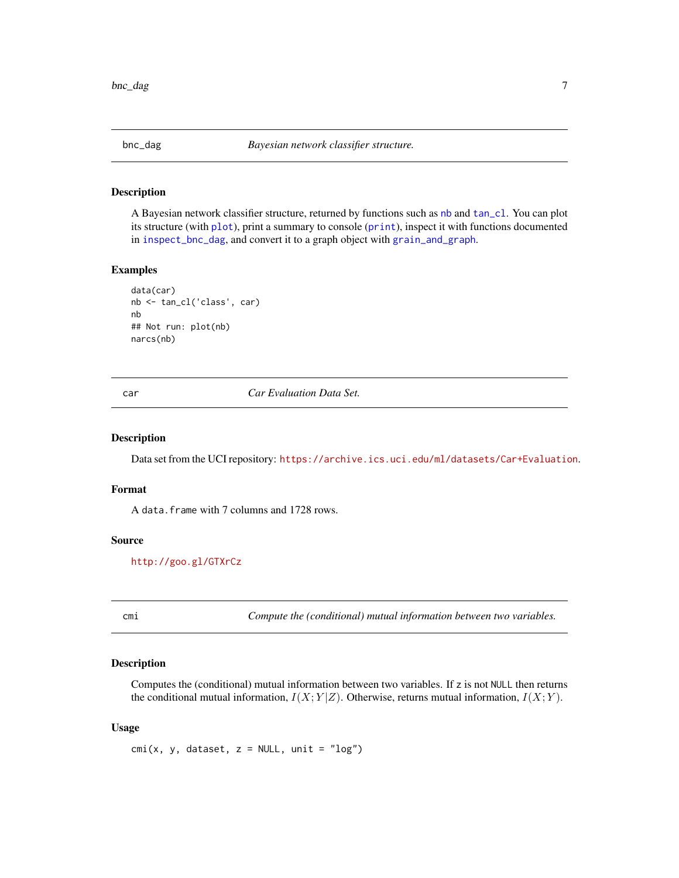<span id="page-6-1"></span><span id="page-6-0"></span>

A Bayesian network classifier structure, returned by functions such as [nb](#page-15-1) and [tan\\_cl](#page-17-1). You can plot its structure (with [plot](#page-16-2)), print a summary to console ([print](#page-0-0)), inspect it with functions documented in [inspect\\_bnc\\_dag](#page-11-1), and convert it to a graph object with [grain\\_and\\_graph](#page-8-1).

# Examples

```
data(car)
nb <- tan_cl('class', car)
nb
## Not run: plot(nb)
narcs(nb)
```
car *Car Evaluation Data Set.*

# Description

Data set from the UCI repository: <https://archive.ics.uci.edu/ml/datasets/Car+Evaluation>.

#### Format

A data.frame with 7 columns and 1728 rows.

#### Source

<http://goo.gl/GTXrCz>

cmi *Compute the (conditional) mutual information between two variables.*

#### Description

Computes the (conditional) mutual information between two variables. If z is not NULL then returns the conditional mutual information,  $I(X; Y|Z)$ . Otherwise, returns mutual information,  $I(X; Y)$ .

#### Usage

 $cmi(x, y, dataset, z = NULL, unit = "log")$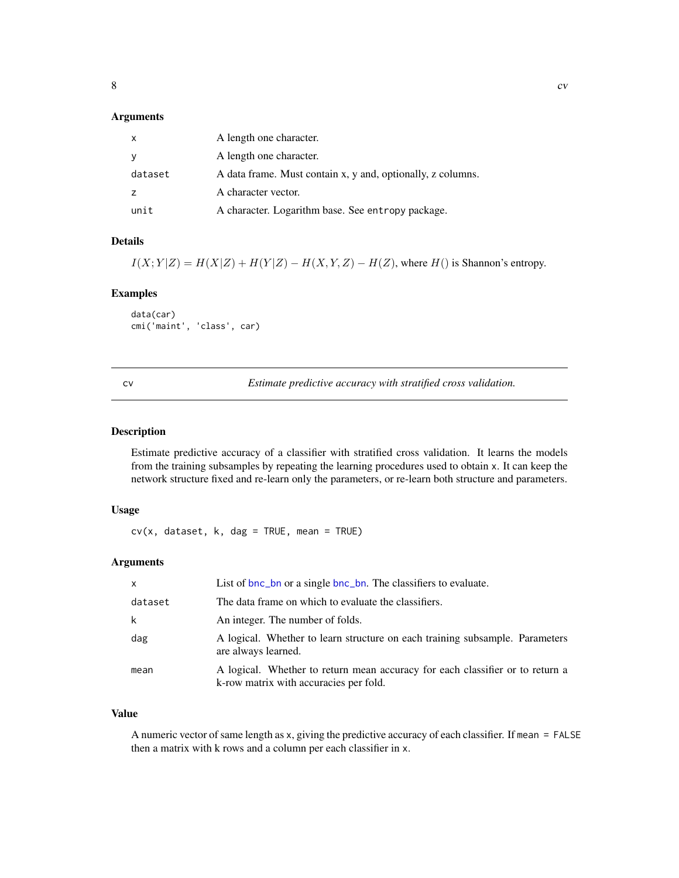# <span id="page-7-0"></span>Arguments

| X       | A length one character.                                     |
|---------|-------------------------------------------------------------|
| У       | A length one character.                                     |
| dataset | A data frame. Must contain x, y and, optionally, z columns. |
| z       | A character vector.                                         |
| unit    | A character. Logarithm base. See entropy package.           |

# Details

 $I(X; Y|Z) = H(X|Z) + H(Y|Z) - H(X, Y, Z) - H(Z)$ , where  $H()$  is Shannon's entropy.

### Examples

data(car) cmi('maint', 'class', car)

<span id="page-7-1"></span>cv *Estimate predictive accuracy with stratified cross validation.*

# Description

Estimate predictive accuracy of a classifier with stratified cross validation. It learns the models from the training subsamples by repeating the learning procedures used to obtain x. It can keep the network structure fixed and re-learn only the parameters, or re-learn both structure and parameters.

#### Usage

 $cv(x, dataset, k, dag = TRUE, mean = TRUE)$ 

# Arguments

| $\mathsf{x}$ | List of bnc_bn or a single bnc_bn. The classifiers to evaluate.                                                         |
|--------------|-------------------------------------------------------------------------------------------------------------------------|
| dataset      | The data frame on which to evaluate the classifiers.                                                                    |
| k            | An integer. The number of folds.                                                                                        |
| dag          | A logical. Whether to learn structure on each training subsample. Parameters<br>are always learned.                     |
| mean         | A logical. Whether to return mean accuracy for each classifier or to return a<br>k-row matrix with accuracies per fold. |

### Value

A numeric vector of same length as x, giving the predictive accuracy of each classifier. If mean = FALSE then a matrix with k rows and a column per each classifier in x.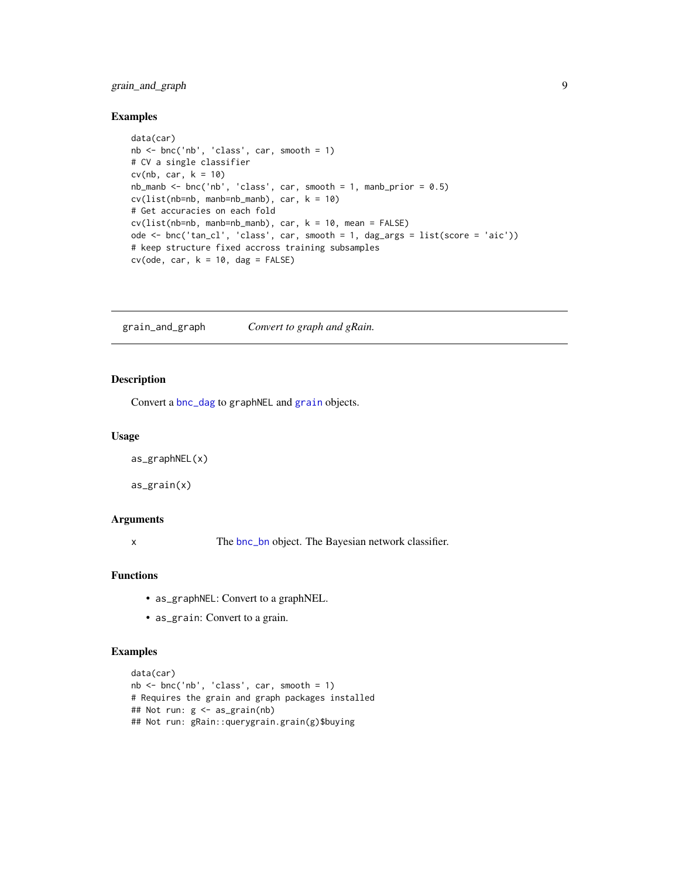# <span id="page-8-0"></span>grain\_and\_graph 9

# Examples

```
data(car)
nb <- bnc('nb', 'class', car, smooth = 1)
# CV a single classifier
cv(nb, car, k = 10)nb\_manb \leq -bnc('nb', 'class', car, smooth = 1, manb\_prior = 0.5)cv(list(nb=nb, manb=nb\_manb), car, k = 10)# Get accuracies on each fold
cv(list(nb=nb, manb=nb_manb), car, k = 10, mean = FALSE)
ode <- bnc('tan_cl', 'class', car, smooth = 1, dag_args = list(score = 'aic'))
# keep structure fixed accross training subsamples
cv(ode, car, k = 10, dag = FALSE)
```
<span id="page-8-1"></span>grain\_and\_graph *Convert to graph and gRain.*

## Description

Convert a [bnc\\_dag](#page-6-1) to graphNEL and [grain](#page-0-0) objects.

#### Usage

```
as_graphNEL(x)
```
as\_grain(x)

# Arguments

x The [bnc\\_bn](#page-5-1) object. The Bayesian network classifier.

### Functions

- as\_graphNEL: Convert to a graphNEL.
- as\_grain: Convert to a grain.

```
data(car)
nb <- bnc('nb', 'class', car, smooth = 1)
# Requires the grain and graph packages installed
## Not run: g <- as_grain(nb)
## Not run: gRain::querygrain.grain(g)$buying
```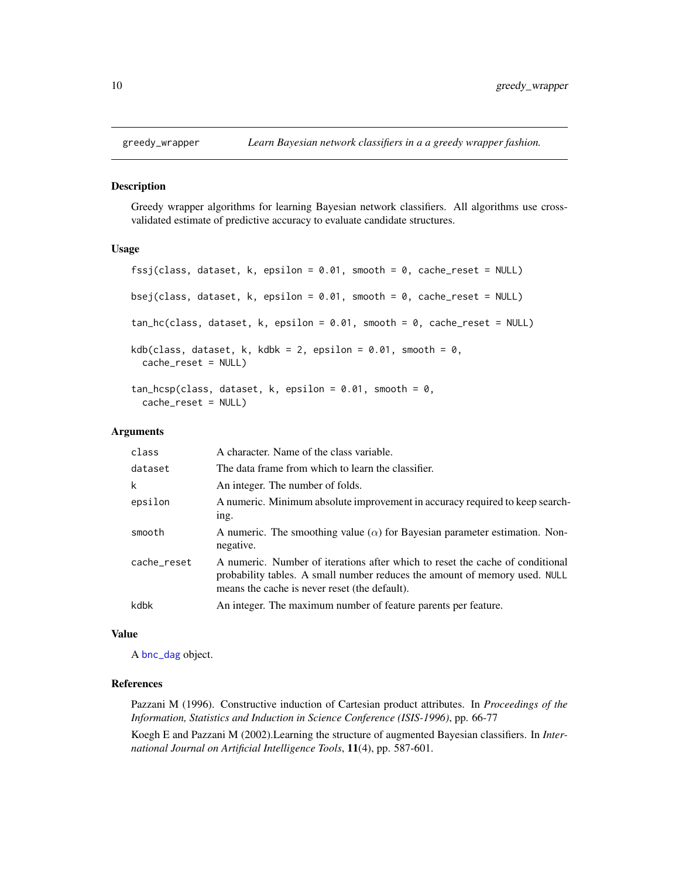<span id="page-9-1"></span><span id="page-9-0"></span>

Greedy wrapper algorithms for learning Bayesian network classifiers. All algorithms use crossvalidated estimate of predictive accuracy to evaluate candidate structures.

# Usage

```
fssj(class, dataset, k, epsilon = 0.01, smooth = 0, cache_reset = NULL)
bsej(class, dataset, k, epsilon = 0.01, smooth = 0, cache_reset = NULL)
tan_hc(class, dataset, k, epsilon = 0.01, smooth = 0, cache_reset = NULL)
kdb(class, dataset, k, kdbk = 2, epsilon = 0.01, smooth = 0,
 cache_reset = NULL)
tan\_hcsp(class, dataset, k, epsilon = 0.01, smooth = 0,cache_reset = NULL)
```
#### Arguments

| class       | A character. Name of the class variable.                                                                                                                                                                     |
|-------------|--------------------------------------------------------------------------------------------------------------------------------------------------------------------------------------------------------------|
| dataset     | The data frame from which to learn the classifier.                                                                                                                                                           |
| k           | An integer. The number of folds.                                                                                                                                                                             |
| epsilon     | A numeric. Minimum absolute improvement in accuracy required to keep search-<br>ing.                                                                                                                         |
| smooth      | A numeric. The smoothing value $(\alpha)$ for Bayesian parameter estimation. Non-<br>negative.                                                                                                               |
| cache_reset | A numeric. Number of iterations after which to reset the cache of conditional<br>probability tables. A small number reduces the amount of memory used. NULL<br>means the cache is never reset (the default). |
| kdbk        | An integer. The maximum number of feature parents per feature.                                                                                                                                               |

#### Value

A [bnc\\_dag](#page-6-1) object.

### References

Pazzani M (1996). Constructive induction of Cartesian product attributes. In *Proceedings of the Information, Statistics and Induction in Science Conference (ISIS-1996)*, pp. 66-77

Koegh E and Pazzani M (2002).Learning the structure of augmented Bayesian classifiers. In *International Journal on Artificial Intelligence Tools*, 11(4), pp. 587-601.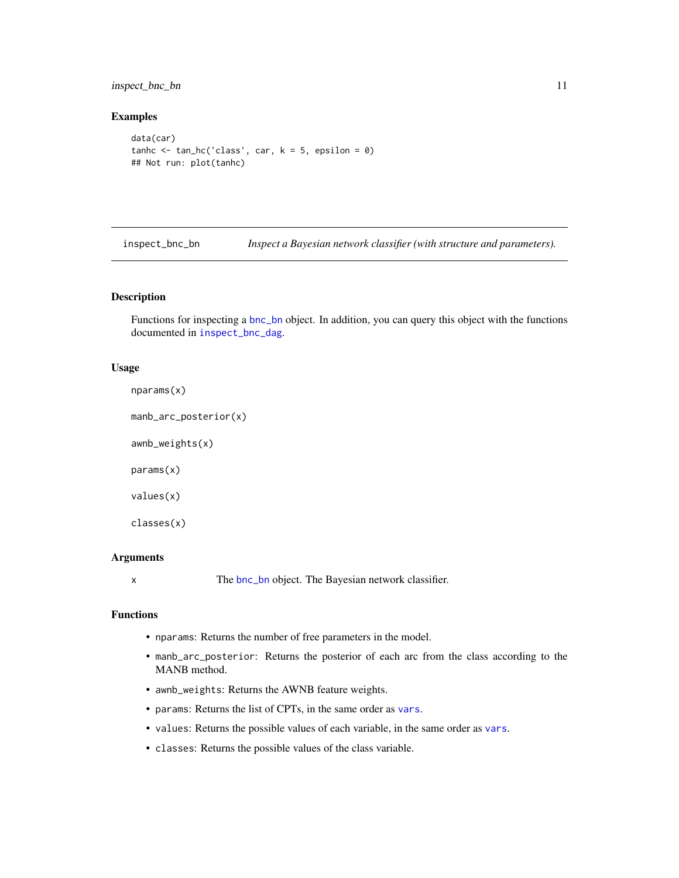# <span id="page-10-0"></span>inspect\_bnc\_bn 11

# Examples

```
data(car)
tanhc \le tan_hc('class', car, k = 5, epsilon = 0)
## Not run: plot(tanhc)
```
<span id="page-10-2"></span>inspect\_bnc\_bn *Inspect a Bayesian network classifier (with structure and parameters).*

#### <span id="page-10-1"></span>Description

Functions for inspecting a [bnc\\_bn](#page-5-1) object. In addition, you can query this object with the functions documented in [inspect\\_bnc\\_dag](#page-11-1).

#### Usage

```
nparams(x)
```

```
manb_arc_posterior(x)
```
awnb\_weights(x)

params(x)

values(x)

```
classes(x)
```
#### Arguments

x The [bnc\\_bn](#page-5-1) object. The Bayesian network classifier.

#### Functions

- nparams: Returns the number of free parameters in the model.
- manb\_arc\_posterior: Returns the posterior of each arc from the class according to the MANB method.
- awnb\_weights: Returns the AWNB feature weights.
- params: Returns the list of CPTs, in the same order as [vars](#page-11-2).
- values: Returns the possible values of each variable, in the same order as [vars](#page-11-2).
- classes: Returns the possible values of the class variable.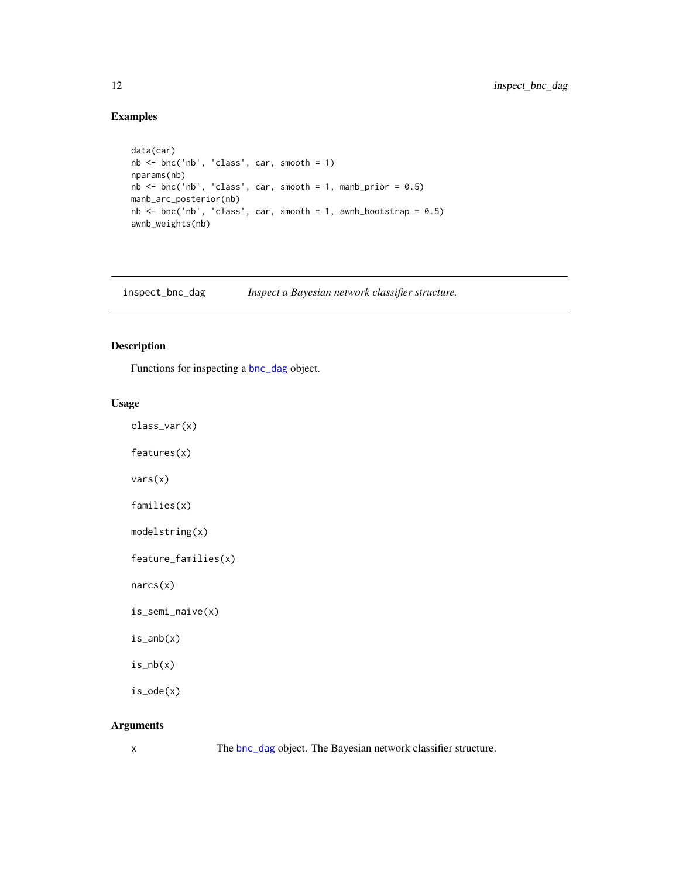# Examples

```
data(car)
nb <- bnc('nb', 'class', car, smooth = 1)
nparams(nb)
nb <- bnc('nb', 'class', car, smooth = 1, manb_prior = 0.5)
manb_arc_posterior(nb)
nb \le bnc('nb', 'class', car, smooth = 1, awnb_bootstrap = 0.5)
awnb_weights(nb)
```
<span id="page-11-1"></span>inspect\_bnc\_dag *Inspect a Bayesian network classifier structure.*

# <span id="page-11-2"></span>Description

Functions for inspecting a [bnc\\_dag](#page-6-1) object.

# Usage

```
features(x)
vars(x)
families(x)
modelstring(x)
feature_families(x)
```
class\_var(x)

narcs(x)

```
is_semi_naive(x)
```
is\_anb(x)

 $is_n(b(x))$ 

is\_ode(x)

# Arguments

x The [bnc\\_dag](#page-6-1) object. The Bayesian network classifier structure.

<span id="page-11-0"></span>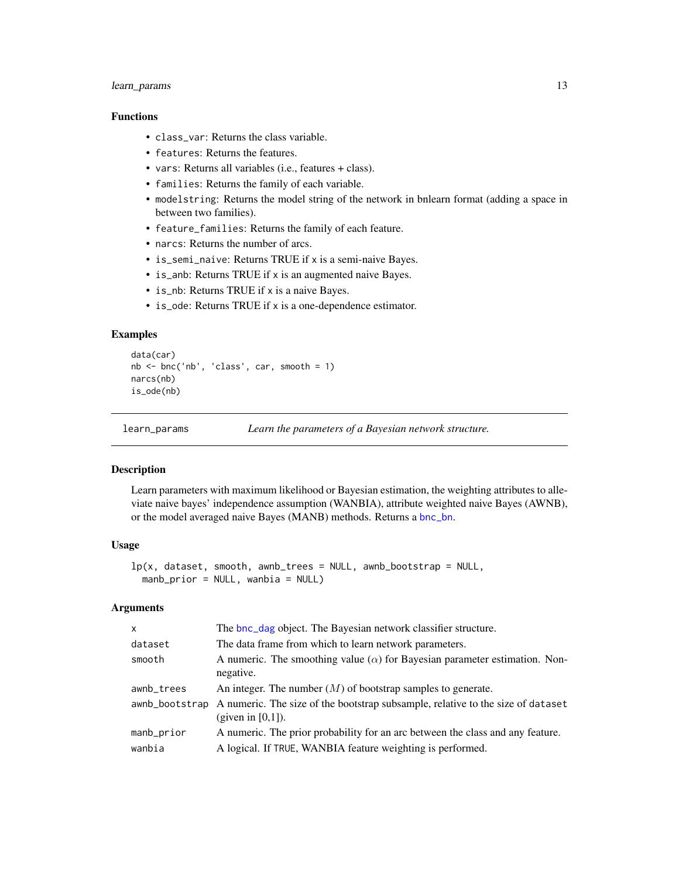# <span id="page-12-0"></span>learn\_params 13

# Functions

- class\_var: Returns the class variable.
- features: Returns the features.
- vars: Returns all variables (i.e., features + class).
- families: Returns the family of each variable.
- modelstring: Returns the model string of the network in bnlearn format (adding a space in between two families).
- feature\_families: Returns the family of each feature.
- narcs: Returns the number of arcs.
- is\_semi\_naive: Returns TRUE if x is a semi-naive Bayes.
- is\_anb: Returns TRUE if x is an augmented naive Bayes.
- is\_nb: Returns TRUE if x is a naive Bayes.
- is\_ode: Returns TRUE if x is a one-dependence estimator.

# Examples

```
data(car)
nb \le - bnc('nb', 'class', car, smooth = 1)narcs(nb)
is_ode(nb)
```
learn\_params *Learn the parameters of a Bayesian network structure.*

# <span id="page-12-1"></span>Description

Learn parameters with maximum likelihood or Bayesian estimation, the weighting attributes to alleviate naive bayes' independence assumption (WANBIA), attribute weighted naive Bayes (AWNB), or the model averaged naive Bayes (MANB) methods. Returns a [bnc\\_bn](#page-5-1).

#### Usage

```
lp(x, dataset, smooth, awnb_trees = NULL, awnb_bootstrap = NULL,
 manb_prior = NULL, wanbia = NULL)
```
#### Arguments

| $\mathsf{x}$ | The bnc_dag object. The Bayesian network classifier structure.                                                         |
|--------------|------------------------------------------------------------------------------------------------------------------------|
| dataset      | The data frame from which to learn network parameters.                                                                 |
| smooth       | A numeric. The smoothing value $(\alpha)$ for Bayesian parameter estimation. Non-<br>negative.                         |
| awnb_trees   | An integer. The number $(M)$ of bootstrap samples to generate.                                                         |
|              | awnb_bootstrap A numeric. The size of the bootstrap subsample, relative to the size of dataset<br>(given in $[0,1]$ ). |
| manb_prior   | A numeric. The prior probability for an arc between the class and any feature.                                         |
| wanbia       | A logical. If TRUE, WANBIA feature weighting is performed.                                                             |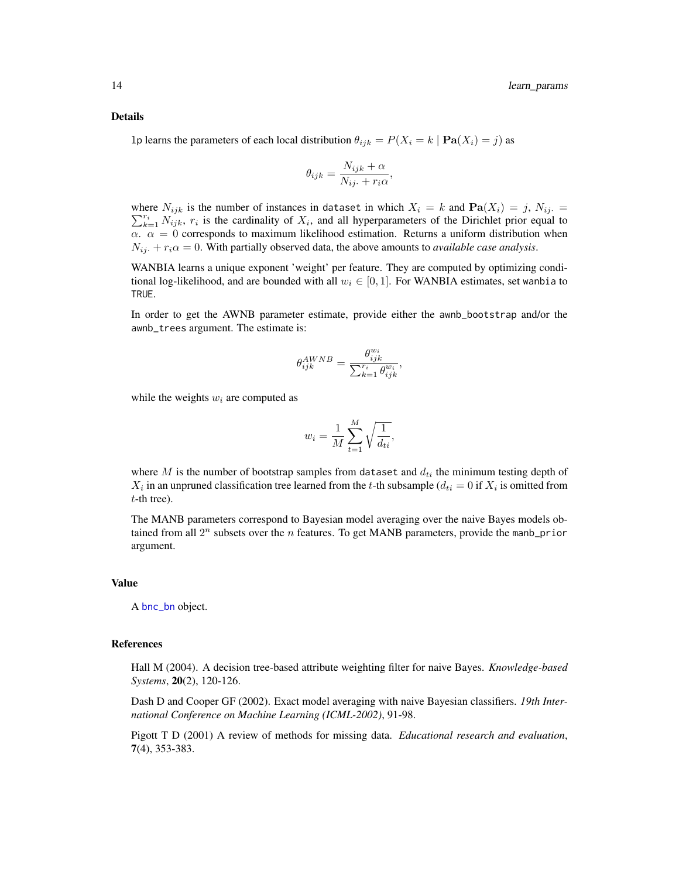#### Details

1p learns the parameters of each local distribution  $\theta_{ijk} = P(X_i = k | \mathbf{Pa}(X_i) = j)$  as

$$
\theta_{ijk} = \frac{N_{ijk} + \alpha}{N_{ij.} + r_i \alpha},
$$

where  $N_{ijk}$  is the number of instances in dataset in which  $X_i = k$  and  $\textbf{Pa}(X_i) = j$ ,  $N_{ij} = j$  $\sum_{k=1}^{r_i} N_{ijk}$ ,  $r_i$  is the cardinality of  $X_i$ , and all hyperparameters of the Dirichlet prior equal to  $\alpha$ .  $\alpha = 0$  corresponds to maximum likelihood estimation. Returns a uniform distribution when  $N_{ij} + r_i \alpha = 0$ . With partially observed data, the above amounts to *available case analysis*.

WANBIA learns a unique exponent 'weight' per feature. They are computed by optimizing conditional log-likelihood, and are bounded with all  $w_i \in [0, 1]$ . For WANBIA estimates, set wanbia to TRUE.

In order to get the AWNB parameter estimate, provide either the awnb\_bootstrap and/or the awnb\_trees argument. The estimate is:

$$
\theta_{ijk}^{AWNB} = \frac{\theta_{ijk}^{w_i}}{\sum_{k=1}^{r_i} \theta_{ijk}^{w_i}},
$$

while the weights  $w_i$  are computed as

$$
w_i = \frac{1}{M} \sum_{t=1}^{M} \sqrt{\frac{1}{d_{ti}}},
$$

where  $M$  is the number of bootstrap samples from dataset and  $d_{ti}$  the minimum testing depth of  $X_i$  in an unpruned classification tree learned from the t-th subsample ( $d_{ti} = 0$  if  $X_i$  is omitted from t-th tree).

The MANB parameters correspond to Bayesian model averaging over the naive Bayes models obtained from all  $2^n$  subsets over the *n* features. To get MANB parameters, provide the manb\_prior argument.

#### Value

A **[bnc\\_bn](#page-5-1)** object.

#### References

Hall M (2004). A decision tree-based attribute weighting filter for naive Bayes. *Knowledge-based Systems*, 20(2), 120-126.

Dash D and Cooper GF (2002). Exact model averaging with naive Bayesian classifiers. *19th International Conference on Machine Learning (ICML-2002)*, 91-98.

Pigott T D (2001) A review of methods for missing data. *Educational research and evaluation*, 7(4), 353-383.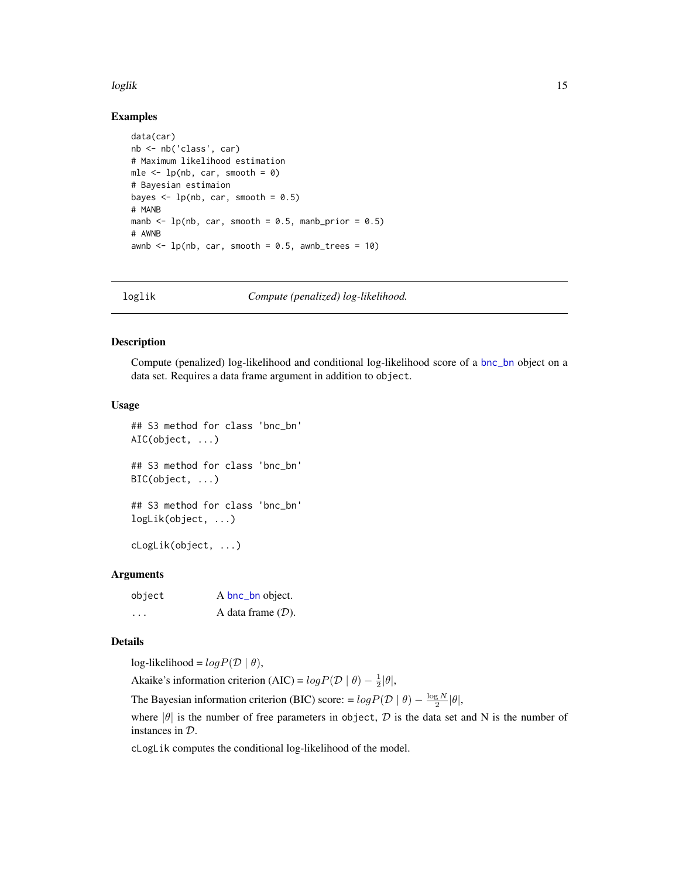#### <span id="page-14-0"></span>loglik 15

#### Examples

```
data(car)
nb <- nb('class', car)
# Maximum likelihood estimation
mle \leq -1p(nb, car, smooth = 0)
# Bayesian estimaion
bayes \leq lp(nb, car, smooth = 0.5)
# MANB
manb \leq lp(nb, car, smooth = 0.5, manb_prior = 0.5)
# AWNB
awnb \leq lp(nb, car, smooth = 0.5, awnb_trees = 10)
```
loglik *Compute (penalized) log-likelihood.*

#### <span id="page-14-1"></span>Description

Compute (penalized) log-likelihood and conditional log-likelihood score of a [bnc\\_bn](#page-5-1) object on a data set. Requires a data frame argument in addition to object.

#### Usage

## S3 method for class 'bnc\_bn' AIC(object, ...) ## S3 method for class 'bnc\_bn' BIC(object, ...) ## S3 method for class 'bnc\_bn' logLik(object, ...)

cLogLik(object, ...)

#### **Arguments**

| object   | A bnc_bn object.     |
|----------|----------------------|
| $\cdots$ | A data frame $(D)$ . |

# Details

log-likelihood =  $logP(D | \theta)$ ,

Akaike's information criterion (AIC) =  $log P(D | \theta) - \frac{1}{2} |\theta|$ ,

The Bayesian information criterion (BIC) score: =  $log P(D | \theta) - \frac{log N}{2} |\theta|$ ,

where  $|\theta|$  is the number of free parameters in object, D is the data set and N is the number of instances in D.

cLogLik computes the conditional log-likelihood of the model.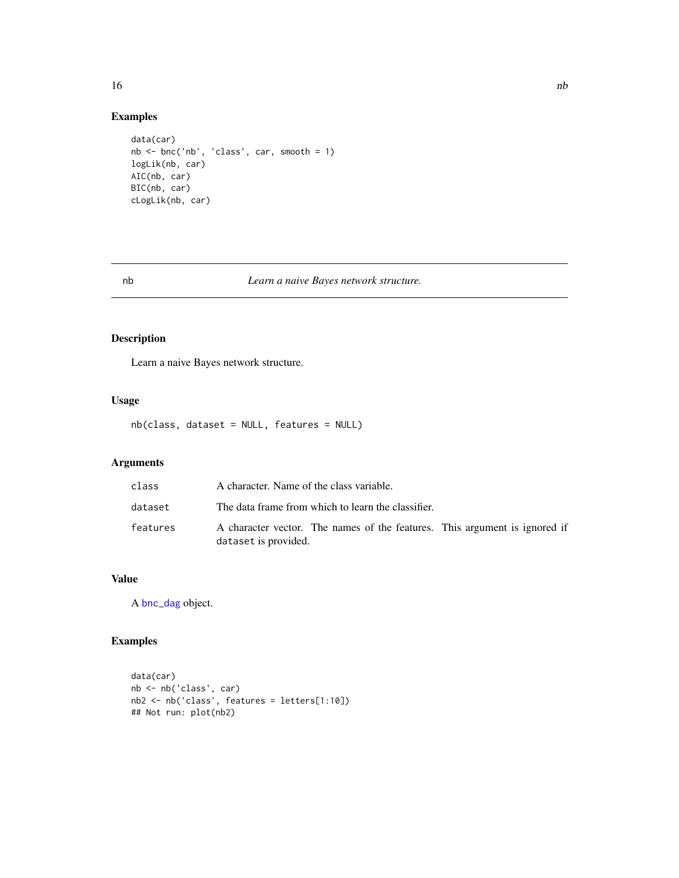# Examples

```
data(car)
nb <- bnc('nb', 'class', car, smooth = 1)
logLik(nb, car)
AIC(nb, car)
BIC(nb, car)
cLogLik(nb, car)
```
# <span id="page-15-1"></span>nb *Learn a naive Bayes network structure.*

# Description

Learn a naive Bayes network structure.

#### Usage

nb(class, dataset = NULL, features = NULL)

# Arguments

| class    | A character. Name of the class variable.                                                           |
|----------|----------------------------------------------------------------------------------------------------|
| dataset  | The data frame from which to learn the classifier.                                                 |
| features | A character vector. The names of the features. This argument is ignored if<br>dataset is provided. |

# Value

A [bnc\\_dag](#page-6-1) object.

# Examples

```
data(car)
nb <- nb('class', car)
nb2 <- nb('class', features = letters[1:10])
## Not run: plot(nb2)
```
<span id="page-15-0"></span> $16$  nb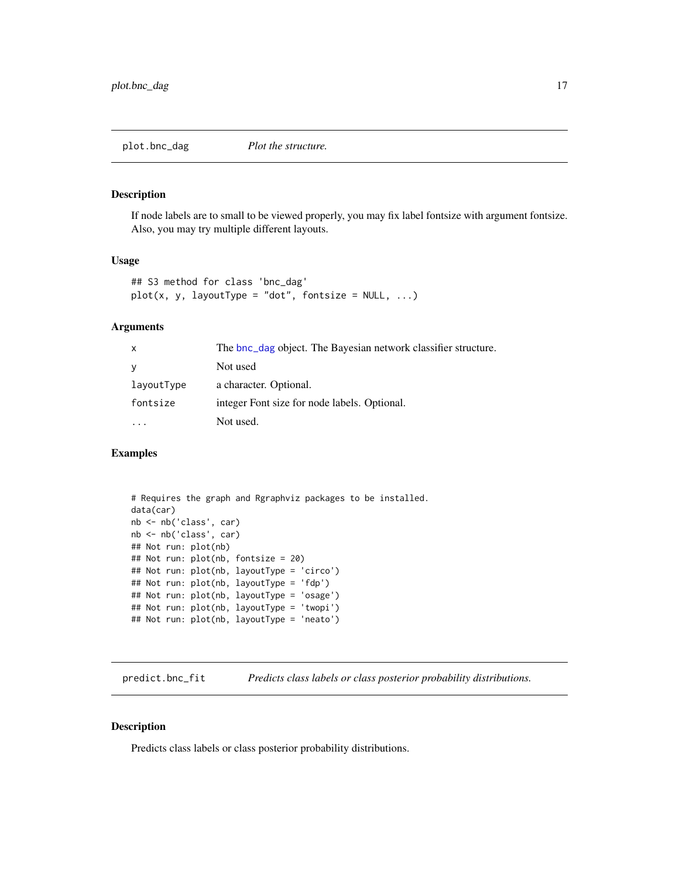<span id="page-16-2"></span><span id="page-16-0"></span>plot.bnc\_dag *Plot the structure.*

# Description

If node labels are to small to be viewed properly, you may fix label fontsize with argument fontsize. Also, you may try multiple different layouts.

#### Usage

```
## S3 method for class 'bnc_dag'
plot(x, y, layoutType = "dot", fontsize = NULL, ...)
```
# Arguments

| $\mathsf{x}$ | The bnc_dag object. The Bayesian network classifier structure. |
|--------------|----------------------------------------------------------------|
| <b>y</b>     | Not used                                                       |
| layoutType   | a character. Optional.                                         |
| fontsize     | integer Font size for node labels. Optional.                   |
|              | Not used.                                                      |

# Examples

```
# Requires the graph and Rgraphviz packages to be installed.
data(car)
nb <- nb('class', car)
nb <- nb('class', car)
## Not run: plot(nb)
## Not run: plot(nb, fontsize = 20)
## Not run: plot(nb, layoutType = 'circo')
## Not run: plot(nb, layoutType = 'fdp')
## Not run: plot(nb, layoutType = 'osage')
## Not run: plot(nb, layoutType = 'twopi')
## Not run: plot(nb, layoutType = 'neato')
```
<span id="page-16-1"></span>predict.bnc\_fit *Predicts class labels or class posterior probability distributions.*

# Description

Predicts class labels or class posterior probability distributions.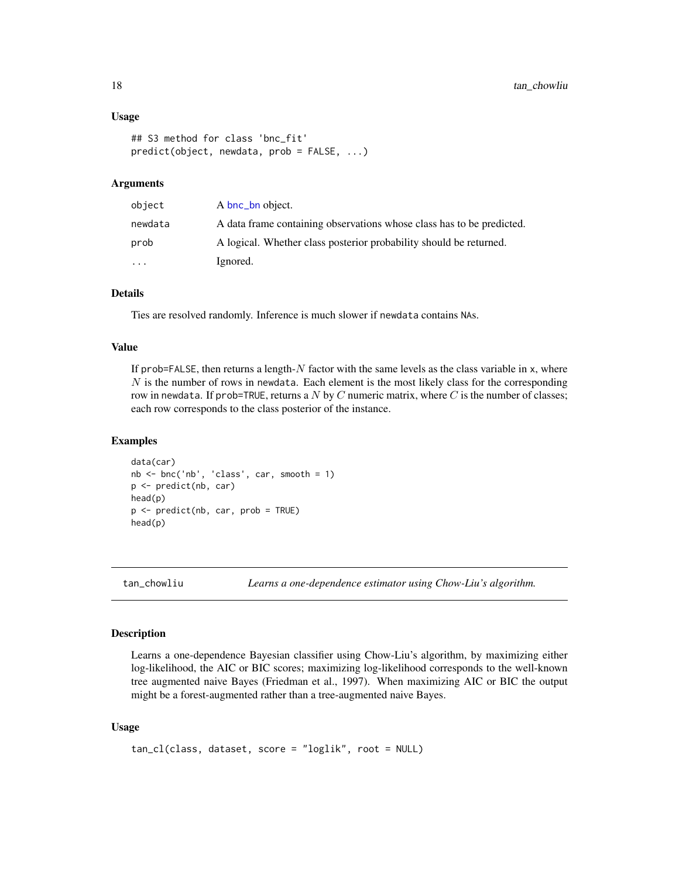#### <span id="page-17-0"></span>Usage

```
## S3 method for class 'bnc_fit'
predict(object, newdata, prob = FALSE, ...)
```
## Arguments

| object    | A bnc_bn object.                                                      |
|-----------|-----------------------------------------------------------------------|
| newdata   | A data frame containing observations whose class has to be predicted. |
| prob      | A logical. Whether class posterior probability should be returned.    |
| $\ddotsc$ | Ignored.                                                              |

# Details

Ties are resolved randomly. Inference is much slower if newdata contains NAs.

# Value

If prob=FALSE, then returns a length- $N$  factor with the same levels as the class variable in x, where  $N$  is the number of rows in newdata. Each element is the most likely class for the corresponding row in newdata. If prob=TRUE, returns a  $N$  by  $C$  numeric matrix, where  $C$  is the number of classes; each row corresponds to the class posterior of the instance.

#### Examples

```
data(car)
nb <- bnc('nb', 'class', car, smooth = 1)
p <- predict(nb, car)
head(p)
p <- predict(nb, car, prob = TRUE)
head(p)
```
tan\_chowliu *Learns a one-dependence estimator using Chow-Liu's algorithm.*

## <span id="page-17-1"></span>Description

Learns a one-dependence Bayesian classifier using Chow-Liu's algorithm, by maximizing either log-likelihood, the AIC or BIC scores; maximizing log-likelihood corresponds to the well-known tree augmented naive Bayes (Friedman et al., 1997). When maximizing AIC or BIC the output might be a forest-augmented rather than a tree-augmented naive Bayes.

#### Usage

```
tan_cl(class, dataset, score = "loglik", root = NULL)
```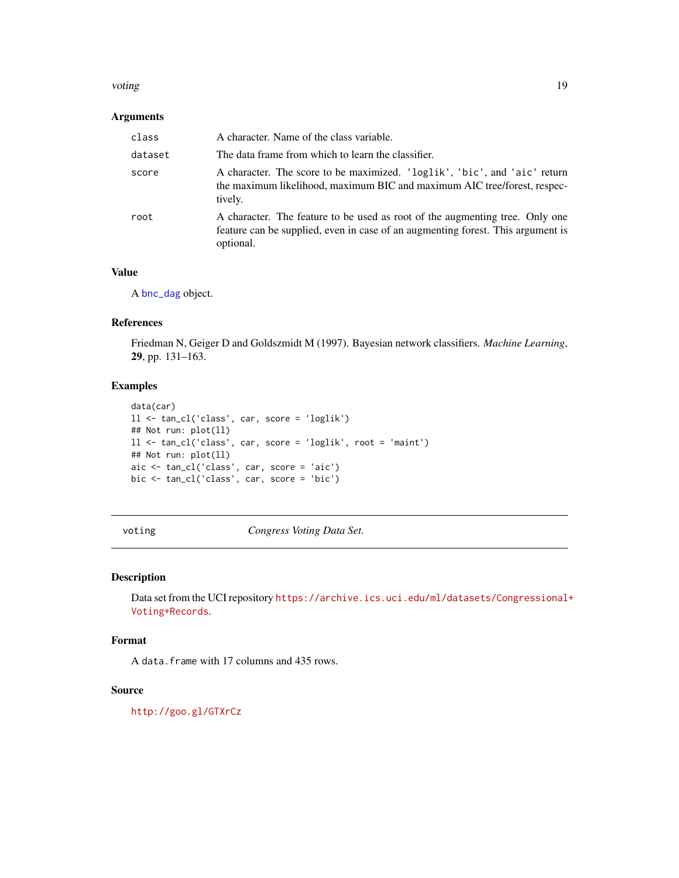#### <span id="page-18-0"></span>voting the contract of the contract of the contract of the contract of the contract of the contract of the contract of the contract of the contract of the contract of the contract of the contract of the contract of the con

# Arguments

| class   | A character. Name of the class variable.                                                                                                                                     |
|---------|------------------------------------------------------------------------------------------------------------------------------------------------------------------------------|
| dataset | The data frame from which to learn the classifier.                                                                                                                           |
| score   | A character. The score to be maximized. 'loglik', 'bic', and 'aic' return<br>the maximum likelihood, maximum BIC and maximum AIC tree/forest, respec-<br>tively.             |
| root    | A character. The feature to be used as root of the augmenting tree. Only one<br>feature can be supplied, even in case of an augmenting forest. This argument is<br>optional. |

#### Value

A [bnc\\_dag](#page-6-1) object.

# References

Friedman N, Geiger D and Goldszmidt M (1997). Bayesian network classifiers. *Machine Learning*, 29, pp. 131–163.

# Examples

```
data(car)
ll <- tan_cl('class', car, score = 'loglik')
## Not run: plot(ll)
ll <- tan_cl('class', car, score = 'loglik', root = 'maint')
## Not run: plot(ll)
aic <- tan_cl('class', car, score = 'aic')
bic <- tan_cl('class', car, score = 'bic')
```
voting *Congress Voting Data Set.*

#### Description

Data set from the UCI repository [https://archive.ics.uci.edu/ml/datasets/Congressional+](https://archive.ics.uci.edu/ml/datasets/Congressional+Voting+Records) [Voting+Records](https://archive.ics.uci.edu/ml/datasets/Congressional+Voting+Records).

# Format

A data.frame with 17 columns and 435 rows.

#### Source

<http://goo.gl/GTXrCz>